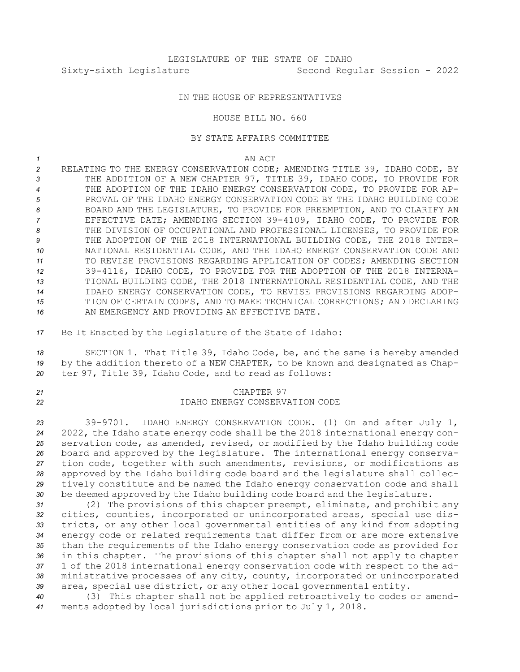## IN THE HOUSE OF REPRESENTATIVES

#### HOUSE BILL NO. 660

## BY STATE AFFAIRS COMMITTEE

*1* AN ACT

- *<sup>2</sup>* RELATING TO THE ENERGY CONSERVATION CODE; AMENDING TITLE 39, IDAHO CODE, BY *<sup>3</sup>* THE ADDITION OF A NEW CHAPTER 97, TITLE 39, IDAHO CODE, TO PROVIDE FOR *4* THE ADOPTION OF THE IDAHO ENERGY CONSERVATION CODE, TO PROVIDE FOR AP-*5* PROVAL OF THE IDAHO ENERGY CONSERVATION CODE BY THE IDAHO BUILDING CODE *6* BOARD AND THE LEGISLATURE, TO PROVIDE FOR PREEMPTION, AND TO CLARIFY AN *<sup>7</sup>* EFFECTIVE DATE; AMENDING SECTION 39-4109, IDAHO CODE, TO PROVIDE FOR *8* THE DIVISION OF OCCUPATIONAL AND PROFESSIONAL LICENSES, TO PROVIDE FOR *<sup>9</sup>* THE ADOPTION OF THE 2018 INTERNATIONAL BUILDING CODE, THE 2018 INTER-*10* NATIONAL RESIDENTIAL CODE, AND THE IDAHO ENERGY CONSERVATION CODE AND 11 TO REVISE PROVISIONS REGARDING APPLICATION OF CODES; AMENDING SECTION *<sup>12</sup>* 39-4116, IDAHO CODE, TO PROVIDE FOR THE ADOPTION OF THE 2018 INTERNA-*<sup>13</sup>* TIONAL BUILDING CODE, THE 2018 INTERNATIONAL RESIDENTIAL CODE, AND THE *14* IDAHO ENERGY CONSERVATION CODE, TO REVISE PROVISIONS REGARDING ADOP-*15* TION OF CERTAIN CODES, AND TO MAKE TECHNICAL CORRECTIONS; AND DECLARING 16 AN EMERGENCY AND PROVIDING AN EFFECTIVE DATE.
- *<sup>17</sup>* Be It Enacted by the Legislature of the State of Idaho:
- *<sup>18</sup>* SECTION 1. That Title 39, Idaho Code, be, and the same is hereby amended *<sup>19</sup>* by the addition thereto of <sup>a</sup> NEW CHAPTER, to be known and designated as Chap-*<sup>20</sup>* ter 97, Title 39, Idaho Code, and to read as follows:

## *21* CHAPTER 97 *22* IDAHO ENERGY CONSERVATION CODE

 39-9701. IDAHO ENERGY CONSERVATION CODE. (1) On and after July 1, 2022, the Idaho state energy code shall be the 2018 international energy con- servation code, as amended, revised, or modified by the Idaho building code board and approved by the legislature. The international energy conserva- tion code, together with such amendments, revisions, or modifications as approved by the Idaho building code board and the legislature shall collec- tively constitute and be named the Idaho energy conservation code and shall be deemed approved by the Idaho building code board and the legislature.

 (2) The provisions of this chapter preempt, eliminate, and prohibit any cities, counties, incorporated or unincorporated areas, special use dis- tricts, or any other local governmental entities of any kind from adopting energy code or related requirements that differ from or are more extensive than the requirements of the Idaho energy conservation code as provided for in this chapter. The provisions of this chapter shall not apply to chapter 1 of the 2018 international energy conservation code with respect to the ad- ministrative processes of any city, county, incorporated or unincorporated area, special use district, or any other local governmental entity.

*<sup>40</sup>* (3) This chapter shall not be applied retroactively to codes or amend-*<sup>41</sup>* ments adopted by local jurisdictions prior to July 1, 2018.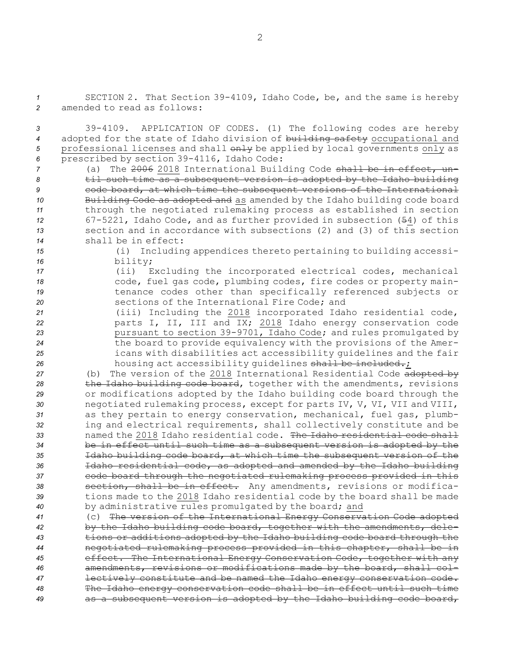*<sup>1</sup>* SECTION 2. That Section 39-4109, Idaho Code, be, and the same is hereby *2* amended to read as follows:

 39-4109. APPLICATION OF CODES. (1) The following codes are hereby adopted for the state of Idaho division of building safety occupational and 5 professional licenses and shall  $\theta$ <sup>1</sup>y be applied by local governments only as prescribed by section 39-4116, Idaho Code:

 (a) The 2006 2018 International Building Code shall be in effect, un- til such time as <sup>a</sup> subsequent version is adopted by the Idaho building code board, at which time the subsequent versions of the International 10 Building Code as adopted and as amended by the Idaho building code board through the negotiated rulemaking process as established in section 67-5221, Idaho Code, and as further provided in subsection (54) of this section and in accordance with subsections (2) and (3) of this section shall be in effect:

*<sup>15</sup>* (i) Including appendices thereto pertaining to building accessi-*<sup>16</sup>* bility;

 (ii) Excluding the incorporated electrical codes, mechanical code, fuel gas code, plumbing codes, fire codes or property main-**19** tenance codes other than specifically referenced subjects or sections of the International Fire Code; and

 (iii) Including the 2018 incorporated Idaho residential code, parts I, II, III and IX; 2018 Idaho energy conservation code pursuant to section 39-9701, Idaho Code; and rules promulgated by the board to provide equivalency with the provisions of the Amer- icans with disabilities act accessibility guidelines and the fair 26 housing act accessibility guidelines shall be included.;

 (b) The version of the 2018 International Residential Code adopted by the Idaho building code board, together with the amendments, revisions or modifications adopted by the Idaho building code board through the negotiated rulemaking process, except for parts IV, V, VI, VII and VIII, as they pertain to energy conservation, mechanical, fuel gas, plumb- ing and electrical requirements, shall collectively constitute and be named the 2018 Idaho residential code. The Idaho residential code shall be in effect until such time as <sup>a</sup> subsequent version is adopted by the Idaho building code board, at which time the subsequent version of the Idaho residential code, as adopted and amended by the Idaho building code board through the negotiated rulemaking process provided in this section, shall be in effect. Any amendments, revisions or modifica- tions made to the 2018 Idaho residential code by the board shall be made by administrative rules promulgated by the board; and

 (c) The version of the International Energy Conservation Code adopted by the Idaho building code board, together with the amendments, dele- tions or additions adopted by the Idaho building code board through the negotiated rulemaking process provided in this chapter, shall be in effect. The International Energy Conservation Code, together with any amendments, revisions or modifications made by the board, shall col- lectively constitute and be named the Idaho energy conservation code. The Idaho energy conservation code shall be in effect until such time as <sup>a</sup> subsequent version is adopted by the Idaho building code board,

2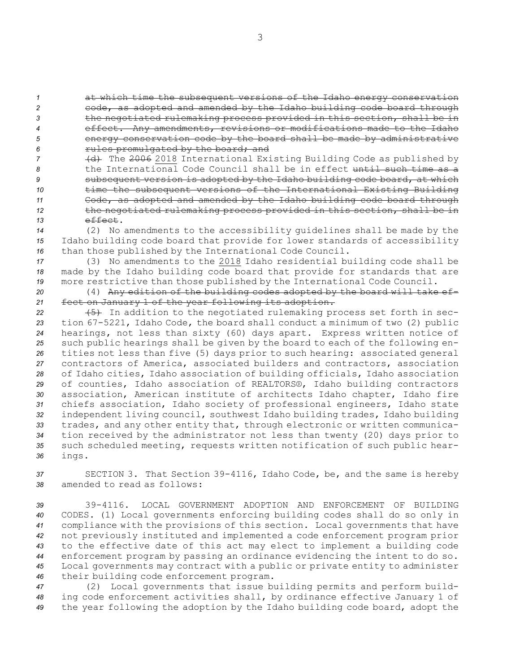at which time the subsequent versions of the Idaho energy conservation code, as adopted and amended by the Idaho building code board through the negotiated rulemaking process provided in this section, shall be in effect. Any amendments, revisions or modifications made to the Idaho energy conservation code by the board shall be made by administrative rules promulgated by the board; and

 (d) The 2006 2018 International Existing Building Code as published by the International Code Council shall be in effect until such time as <sup>a</sup> subsequent version is adopted by the Idaho building code board, at which time the subsequent versions of the International Existing Building Code, as adopted and amended by the Idaho building code board through the negotiated rulemaking process provided in this section, shall be in *13* effect.

*<sup>14</sup>* (2) No amendments to the accessibility guidelines shall be made by the *<sup>15</sup>* Idaho building code board that provide for lower standards of accessibility *<sup>16</sup>* than those published by the International Code Council.

*<sup>17</sup>* (3) No amendments to the 2018 Idaho residential building code shall be *<sup>18</sup>* made by the Idaho building code board that provide for standards that are *<sup>19</sup>* more restrictive than those published by the International Code Council.

*<sup>20</sup>* (4) Any edition of the building codes adopted by the board will take ef-*<sup>21</sup>* fect on January 1 of the year following its adoption.

22 (5) In addition to the negotiated rulemaking process set forth in sec- tion 67-5221, Idaho Code, the board shall conduct <sup>a</sup> minimum of two (2) public hearings, not less than sixty (60) days apart. Express written notice of such public hearings shall be given by the board to each of the following en- tities not less than five (5) days prior to such hearing: associated general contractors of America, associated builders and contractors, association of Idaho cities, Idaho association of building officials, Idaho association of counties, Idaho association of REALTORS®, Idaho building contractors association, American institute of architects Idaho chapter, Idaho fire chiefs association, Idaho society of professional engineers, Idaho state independent living council, southwest Idaho building trades, Idaho building trades, and any other entity that, through electronic or written communica- tion received by the administrator not less than twenty (20) days prior to such scheduled meeting, requests written notification of such public hear-*<sup>36</sup>* ings.

*<sup>37</sup>* SECTION 3. That Section 39-4116, Idaho Code, be, and the same is hereby *38* amended to read as follows:

 39-4116. LOCAL GOVERNMENT ADOPTION AND ENFORCEMENT OF BUILDING CODES. (1) Local governments enforcing building codes shall do so only in compliance with the provisions of this section. Local governments that have not previously instituted and implemented <sup>a</sup> code enforcement program prior to the effective date of this act may elect to implement <sup>a</sup> building code enforcement program by passing an ordinance evidencing the intent to do so. Local governments may contract with <sup>a</sup> public or private entity to administer their building code enforcement program.

*<sup>47</sup>* (2) Local governments that issue building permits and perform build-*<sup>48</sup>* ing code enforcement activities shall, by ordinance effective January 1 of *<sup>49</sup>* the year following the adoption by the Idaho building code board, adopt the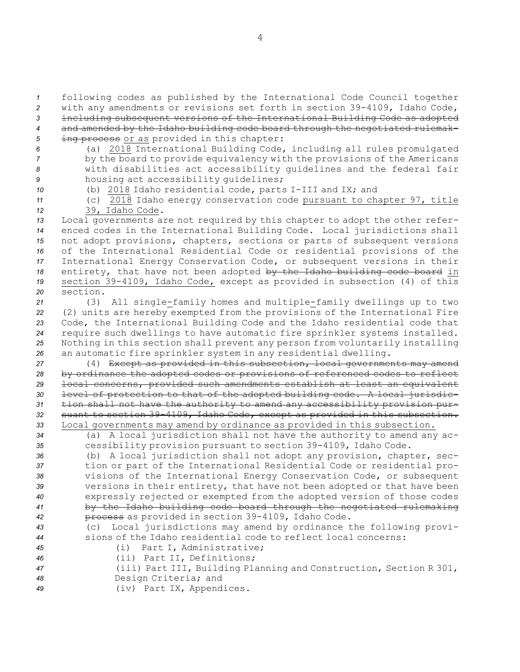following codes as published by the International Code Council together with any amendments or revisions set forth in section 39-4109, Idaho Code, including subsequent versions of the International Building Code as adopted and amended by the Idaho building code board through the negotiated rulemak-5 ing process or as provided in this chapter:

- 
- *<sup>6</sup>* (a) 2018 International Building Code, including all rules promulgated *<sup>7</sup>* by the board to provide equivalency with the provisions of the Americans *<sup>8</sup>* with disabilities act accessibility guidelines and the federal fair *<sup>9</sup>* housing act accessibility guidelines;
- 

*<sup>10</sup>* (b) 2018 Idaho residential code, parts I-III and IX; and

*<sup>11</sup>* (c) 2018 Idaho energy conservation code pursuant to chapter 97, title

*<sup>12</sup>* 39, Idaho Code.

- *<sup>13</sup>* Local governments are not required by this chapter to adopt the other refer-*<sup>14</sup>* enced codes in the International Building Code. Local jurisdictions shall *<sup>15</sup>* not adopt provisions, chapters, sections or parts of subsequent versions *<sup>16</sup>* of the International Residential Code or residential provisions of the *<sup>17</sup>* International Energy Conservation Code, or subsequent versions in their 18 entirety, that have not been adopted by the Idaho building code board in *<sup>19</sup>* section 39-4109, Idaho Code, except as provided in subsection (4) of this *20* section.
- *<sup>21</sup>* (3) All single-family homes and multiple-family dwellings up to two *<sup>22</sup>* (2) units are hereby exempted from the provisions of the International Fire *<sup>23</sup>* Code, the International Building Code and the Idaho residential code that *<sup>24</sup>* require such dwellings to have automatic fire sprinkler systems installed. *<sup>25</sup>* Nothing in this section shall prevent any person from voluntarily installing *<sup>26</sup>* an automatic fire sprinkler system in any residential dwelling.
- *<sup>27</sup>* (4) Except as provided in this subsection, local governments may amend *<sup>28</sup>* by ordinance the adopted codes or provisions of referenced codes to reflect *<sup>29</sup>* local concerns, provided such amendments establish at least an equivalent *<sup>30</sup>* level of protection to that of the adopted building code. <sup>A</sup> local jurisdic-*<sup>31</sup>* tion shall not have the authority to amend any accessibility provision pur-*<sup>32</sup>* suant to section 39-4109, Idaho Code, except as provided in this subsection. *<sup>33</sup>* Local governments may amend by ordinance as provided in this subsection.
- *<sup>34</sup>* (a) <sup>A</sup> local jurisdiction shall not have the authority to amend any ac-*<sup>35</sup>* cessibility provision pursuant to section 39-4109, Idaho Code.
- *<sup>36</sup>* (b) <sup>A</sup> local jurisdiction shall not adopt any provision, chapter, sec-*<sup>37</sup>* tion or part of the International Residential Code or residential pro-*<sup>38</sup>* visions of the International Energy Conservation Code, or subsequent *<sup>39</sup>* versions in their entirety, that have not been adopted or that have been *<sup>40</sup>* expressly rejected or exempted from the adopted version of those codes *<sup>41</sup>* by the Idaho building code board through the negotiated rulemaking *<sup>42</sup>* process as provided in section 39-4109, Idaho Code.
- *<sup>43</sup>* (c) Local jurisdictions may amend by ordinance the following provi-*44* sions of the Idaho residential code to reflect local concerns:
- 
- 
- *<sup>45</sup>* (i) Part I, Administrative; *<sup>46</sup>* (ii) Part II, Definitions;

| 47 | (iii) Part III, Building Planning and Construction, Section R 301, |
|----|--------------------------------------------------------------------|
| 48 | Design Criteria; and                                               |
| 49 | (iv) Part IX, Appendices.                                          |

4